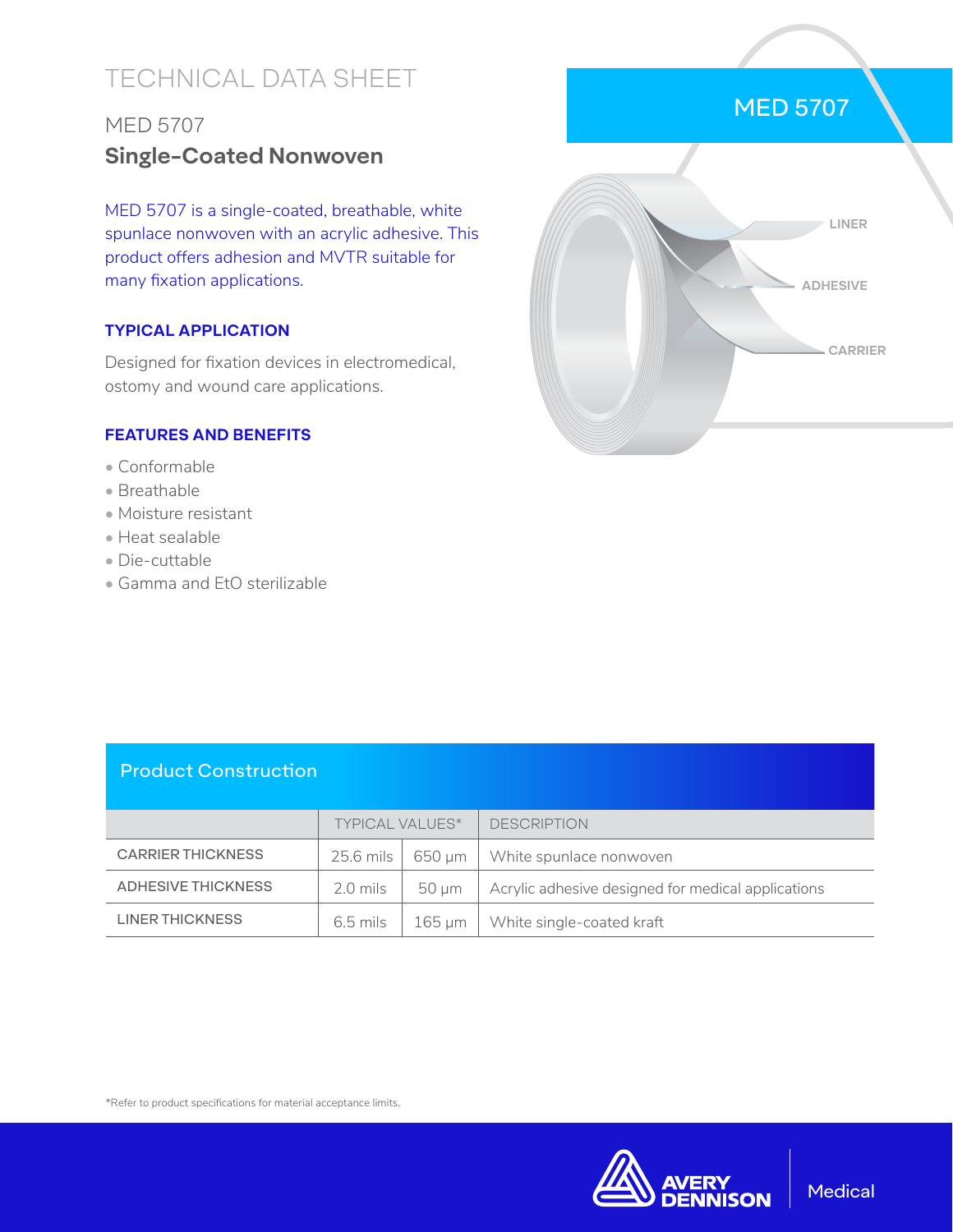# TECHNICAL DATA SHEET

## MED 5707 **Single-Coated Nonwoven**

MED 5707 is a single-coated, breathable, white spunlace nonwoven with an acrylic adhesive. This product offers adhesion and MVTR suitable for many fixation applications.

#### **TYPICAL APPLICATION**

Designed for fixation devices in electromedical, ostomy and wound care applications.

#### **FEATURES AND BENEFITS**

- Conformable
- Breathable
- Moisture resistant
- Heat sealable
- Die-cuttable
- Gamma and EtO sterilizable



### Product Construction

|                          | TYPICAL VALUES* |            | <b>DESCRIPTION</b>                                 |
|--------------------------|-----------------|------------|----------------------------------------------------|
| <b>CARRIER THICKNESS</b> | 25.6 mils       | 650 um     | White spunlace nonwoven                            |
| ADHESIVE THICKNESS       | $2.0$ mils      | $50 \mu m$ | Acrylic adhesive designed for medical applications |
| <b>LINER THICKNESS</b>   | $6.5$ mils      | 165 um     | White single-coated kraft                          |